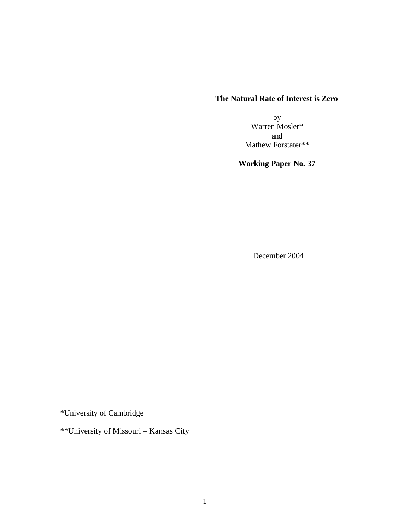## **The Natural Rate of Interest is Zero**

by Warren Mosler\* and Mathew Forstater\*\*

# **Working Paper No. 37**

December 2004

\*University of Cambridge

\*\*University of Missouri – Kansas City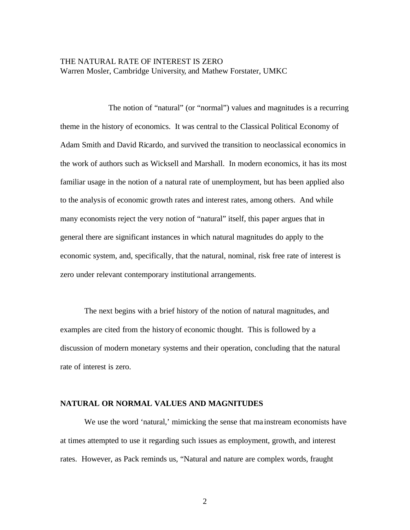## THE NATURAL RATE OF INTEREST IS ZERO Warren Mosler, Cambridge University, and Mathew Forstater, UMKC

The notion of "natural" (or "normal") values and magnitudes is a recurring theme in the history of economics. It was central to the Classical Political Economy of Adam Smith and David Ricardo, and survived the transition to neoclassical economics in the work of authors such as Wicksell and Marshall. In modern economics, it has its most familiar usage in the notion of a natural rate of unemployment, but has been applied also to the analysis of economic growth rates and interest rates, among others. And while many economists reject the very notion of "natural" itself, this paper argues that in general there are significant instances in which natural magnitudes do apply to the economic system, and, specifically, that the natural, nominal, risk free rate of interest is zero under relevant contemporary institutional arrangements.

The next begins with a brief history of the notion of natural magnitudes, and examples are cited from the history of economic thought. This is followed by a discussion of modern monetary systems and their operation, concluding that the natural rate of interest is zero.

#### **NATURAL OR NORMAL VALUES AND MAGNITUDES**

We use the word 'natural,' mimicking the sense that ma instream economists have at times attempted to use it regarding such issues as employment, growth, and interest rates. However, as Pack reminds us, "Natural and nature are complex words, fraught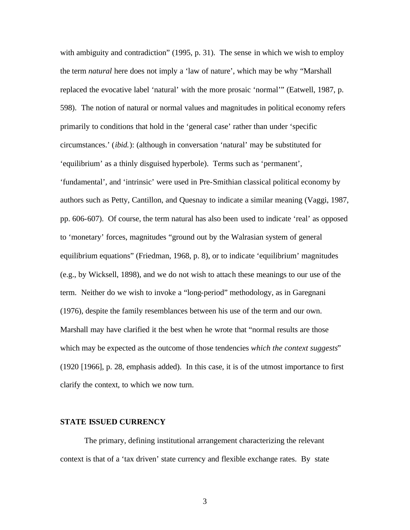with ambiguity and contradiction" (1995, p. 31). The sense in which we wish to employ the term *natural* here does not imply a 'law of nature', which may be why "Marshall replaced the evocative label 'natural' with the more prosaic 'normal'" (Eatwell, 1987, p. 598). The notion of natural or normal values and magnitudes in political economy refers primarily to conditions that hold in the 'general case' rather than under 'specific circumstances.' (*ibid.*): (although in conversation 'natural' may be substituted for 'equilibrium' as a thinly disguised hyperbole). Terms such as 'permanent', 'fundamental', and 'intrinsic' were used in Pre-Smithian classical political economy by authors such as Petty, Cantillon, and Quesnay to indicate a similar meaning (Vaggi, 1987, pp. 606-607). Of course, the term natural has also been used to indicate 'real' as opposed to 'monetary' forces, magnitudes "ground out by the Walrasian system of general equilibrium equations" (Friedman, 1968, p. 8), or to indicate 'equilibrium' magnitudes (e.g., by Wicksell, 1898), and we do not wish to attach these meanings to our use of the term. Neither do we wish to invoke a "long-period" methodology, as in Garegnani (1976), despite the family resemblances between his use of the term and our own. Marshall may have clarified it the best when he wrote that "normal results are those which may be expected as the outcome of those tendencies *which the context suggests*" (1920 [1966], p. 28, emphasis added). In this case, it is of the utmost importance to first clarify the context, to which we now turn.

#### **STATE ISSUED CURRENCY**

The primary, defining institutional arrangement characterizing the relevant context is that of a 'tax driven' state currency and flexible exchange rates. By state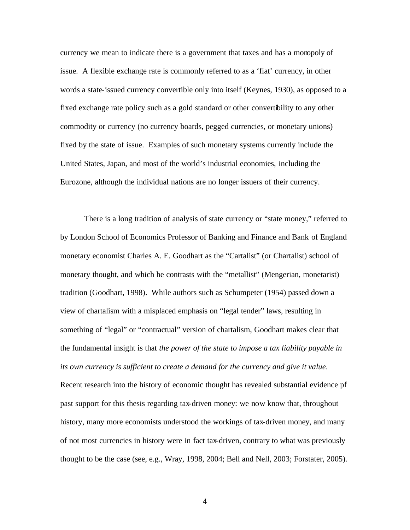currency we mean to indicate there is a government that taxes and has a monopoly of issue. A flexible exchange rate is commonly referred to as a 'fiat' currency, in other words a state-issued currency convertible only into itself (Keynes, 1930), as opposed to a fixed exchange rate policy such as a gold standard or other convertibility to any other commodity or currency (no currency boards, pegged currencies, or monetary unions) fixed by the state of issue. Examples of such monetary systems currently include the United States, Japan, and most of the world's industrial economies, including the Eurozone, although the individual nations are no longer issuers of their currency.

There is a long tradition of analysis of state currency or "state money," referred to by London School of Economics Professor of Banking and Finance and Bank of England monetary economist Charles A. E. Goodhart as the "Cartalist" (or Chartalist) school of monetary thought, and which he contrasts with the "metallist" (Mengerian, monetarist) tradition (Goodhart, 1998). While authors such as Schumpeter (1954) passed down a view of chartalism with a misplaced emphasis on "legal tender" laws, resulting in something of "legal" or "contractual" version of chartalism, Goodhart makes clear that the fundamental insight is that *the power of the state to impose a tax liability payable in its own currency is sufficient to create a demand for the currency and give it value*. Recent research into the history of economic thought has revealed substantial evidence pf past support for this thesis regarding tax-driven money: we now know that, throughout history, many more economists understood the workings of tax-driven money, and many of not most currencies in history were in fact tax-driven, contrary to what was previously thought to be the case (see, e.g., Wray, 1998, 2004; Bell and Nell, 2003; Forstater, 2005).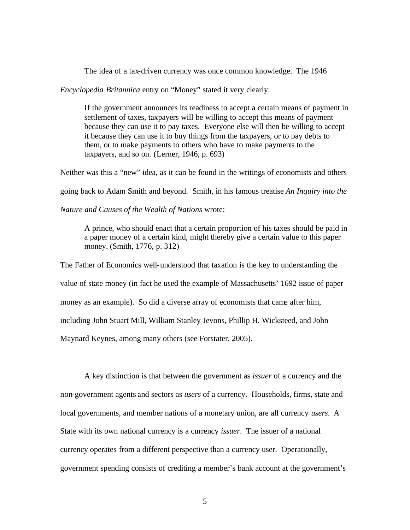The idea of a tax-driven currency was once common knowledge. The 1946

*Encyclopedia Britannica* entry on "Money" stated it very clearly:

If the government announces its readiness to accept a certain means of payment in settlement of taxes, taxpayers will be willing to accept this means of payment because they can use it to pay taxes. Everyone else will then be willing to accept it because they can use it to buy things from the taxpayers, or to pay debts to them, or to make payments to others who have to make payments to the taxpayers, and so on. (Lerner, 1946, p. 693)

Neither was this a "new" idea, as it can be found in the writings of economists and others going back to Adam Smith and beyond. Smith, in his famous treatise *An Inquiry into the* 

*Nature and Causes of the Wealth of Nations* wrote:

A prince, who should enact that a certain proportion of his taxes should be paid in a paper money of a certain kind, might thereby give a certain value to this paper money. (Smith, 1776, p. 312)

The Father of Economics well-understood that taxation is the key to understanding the value of state money (in fact he used the example of Massachusetts' 1692 issue of paper money as an example). So did a diverse array of economists that came after him, including John Stuart Mill, William Stanley Jevons, Phillip H. Wicksteed, and John Maynard Keynes, among many others (see Forstater, 2005).

A key distinction is that between the government as *issuer* of a currency and the non-government agents and sectors as *users* of a currency. Households, firms, state and local governments, and member nations of a monetary union, are all currency *users*. A State with its own national currency is a currency *issuer*. The issuer of a national currency operates from a different perspective than a currency user. Operationally, government spending consists of crediting a member's bank account at the government's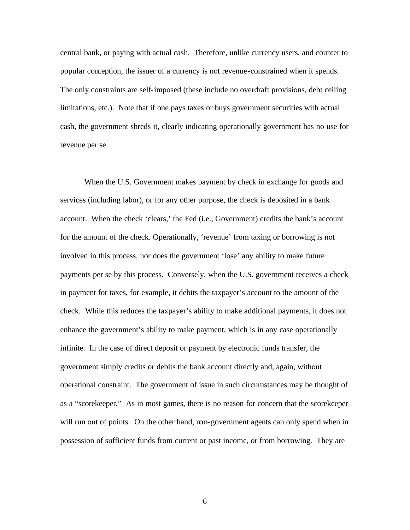central bank, or paying with actual cash. Therefore, unlike currency users, and counter to popular conception, the issuer of a currency is not revenue-constrained when it spends. The only constraints are self-imposed (these include no overdraft provisions, debt ceiling limitations, etc.). Note that if one pays taxes or buys government securities with actual cash, the government shreds it, clearly indicating operationally government has no use for revenue per se.

When the U.S. Government makes payment by check in exchange for goods and services (including labor), or for any other purpose, the check is deposited in a bank account. When the check 'clears,' the Fed (i.e., Government) credits the bank's account for the amount of the check. Operationally, 'revenue' from taxing or borrowing is not involved in this process, nor does the government 'lose' any ability to make future payments per se by this process. Conversely, when the U.S. government receives a check in payment for taxes, for example, it debits the taxpayer's account to the amount of the check. While this reduces the taxpayer's ability to make additional payments, it does not enhance the government's ability to make payment, which is in any case operationally infinite. In the case of direct deposit or payment by electronic funds transfer, the government simply credits or debits the bank account directly and, again, without operational constraint. The government of issue in such circumstances may be thought of as a "scorekeeper." As in most games, there is no reason for concern that the scorekeeper will run out of points. On the other hand, non-government agents can only spend when in possession of sufficient funds from current or past income, or from borrowing. They are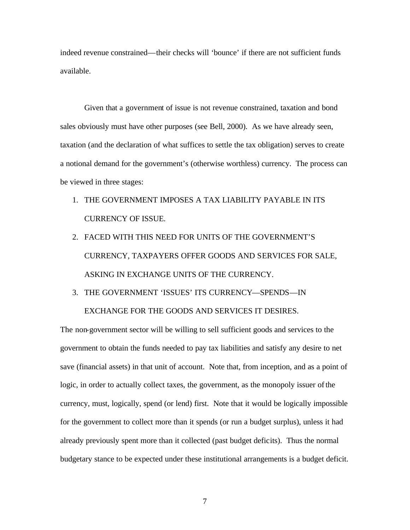indeed revenue constrained—their checks will 'bounce' if there are not sufficient funds available.

Given that a government of issue is not revenue constrained, taxation and bond sales obviously must have other purposes (see Bell, 2000). As we have already seen, taxation (and the declaration of what suffices to settle the tax obligation) serves to create a notional demand for the government's (otherwise worthless) currency. The process can be viewed in three stages:

- 1. THE GOVERNMENT IMPOSES A TAX LIABILITY PAYABLE IN ITS CURRENCY OF ISSUE.
- 2. FACED WITH THIS NEED FOR UNITS OF THE GOVERNMENT'S CURRENCY, TAXPAYERS OFFER GOODS AND SERVICES FOR SALE, ASKING IN EXCHANGE UNITS OF THE CURRENCY.
- 3. THE GOVERNMENT 'ISSUES' ITS CURRENCY—SPENDS—IN EXCHANGE FOR THE GOODS AND SERVICES IT DESIRES.

The non-government sector will be willing to sell sufficient goods and services to the government to obtain the funds needed to pay tax liabilities and satisfy any desire to net save (financial assets) in that unit of account. Note that, from inception, and as a point of logic, in order to actually collect taxes, the government, as the monopoly issuer of the currency, must, logically, spend (or lend) first. Note that it would be logically impossible for the government to collect more than it spends (or run a budget surplus), unless it had already previously spent more than it collected (past budget deficits). Thus the normal budgetary stance to be expected under these institutional arrangements is a budget deficit.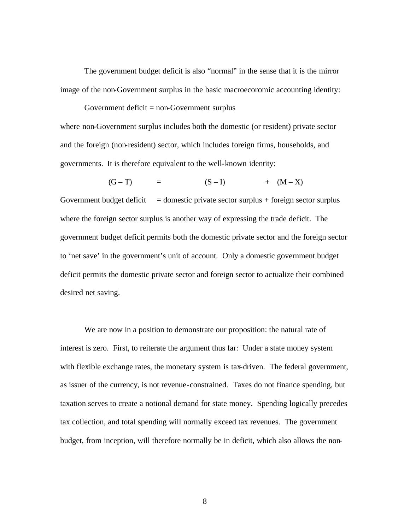The government budget deficit is also "normal" in the sense that it is the mirror image of the non-Government surplus in the basic macroeconomic accounting identity:

Government deficit  $=$  non-Government surplus where non-Government surplus includes both the domestic (or resident) private sector and the foreign (non-resident) sector, which includes foreign firms, households, and governments. It is therefore equivalent to the well-known identity:

$$
(G-T) = (S-I) + (M-X)
$$

Government budget deficit  $=$  domestic private sector surplus + foreign sector surplus where the foreign sector surplus is another way of expressing the trade deficit. The government budget deficit permits both the domestic private sector and the foreign sector to 'net save' in the government's unit of account. Only a domestic government budget deficit permits the domestic private sector and foreign sector to actualize their combined desired net saving.

We are now in a position to demonstrate our proposition: the natural rate of interest is zero. First, to reiterate the argument thus far: Under a state money system with flexible exchange rates, the monetary system is tax-driven. The federal government, as issuer of the currency, is not revenue-constrained. Taxes do not finance spending, but taxation serves to create a notional demand for state money. Spending logically precedes tax collection, and total spending will normally exceed tax revenues. The government budget, from inception, will therefore normally be in deficit, which also allows the non-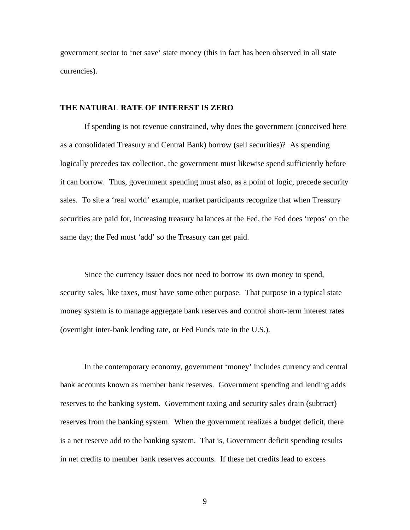government sector to 'net save' state money (this in fact has been observed in all state currencies).

#### **THE NATURAL RATE OF INTEREST IS ZERO**

If spending is not revenue constrained, why does the government (conceived here as a consolidated Treasury and Central Bank) borrow (sell securities)? As spending logically precedes tax collection, the government must likewise spend sufficiently before it can borrow. Thus, government spending must also, as a point of logic, precede security sales. To site a 'real world' example, market participants recognize that when Treasury securities are paid for, increasing treasury balances at the Fed, the Fed does 'repos' on the same day; the Fed must 'add' so the Treasury can get paid.

Since the currency issuer does not need to borrow its own money to spend, security sales, like taxes, must have some other purpose. That purpose in a typical state money system is to manage aggregate bank reserves and control short-term interest rates (overnight inter-bank lending rate, or Fed Funds rate in the U.S.).

In the contemporary economy, government 'money' includes currency and central bank accounts known as member bank reserves. Government spending and lending adds reserves to the banking system. Government taxing and security sales drain (subtract) reserves from the banking system. When the government realizes a budget deficit, there is a net reserve add to the banking system. That is, Government deficit spending results in net credits to member bank reserves accounts. If these net credits lead to excess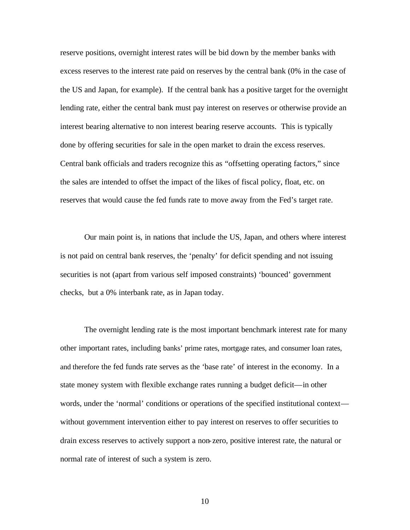reserve positions, overnight interest rates will be bid down by the member banks with excess reserves to the interest rate paid on reserves by the central bank (0% in the case of the US and Japan, for example). If the central bank has a positive target for the overnight lending rate, either the central bank must pay interest on reserves or otherwise provide an interest bearing alternative to non interest bearing reserve accounts. This is typically done by offering securities for sale in the open market to drain the excess reserves. Central bank officials and traders recognize this as "offsetting operating factors," since the sales are intended to offset the impact of the likes of fiscal policy, float, etc. on reserves that would cause the fed funds rate to move away from the Fed's target rate.

Our main point is, in nations that include the US, Japan, and others where interest is not paid on central bank reserves, the 'penalty' for deficit spending and not issuing securities is not (apart from various self imposed constraints) 'bounced' government checks, but a 0% interbank rate, as in Japan today.

The overnight lending rate is the most important benchmark interest rate for many other important rates, including banks' prime rates, mortgage rates, and consumer loan rates, and therefore the fed funds rate serves as the 'base rate' of interest in the economy. In a state money system with flexible exchange rates running a budget deficit—in other words, under the 'normal' conditions or operations of the specified institutional context without government intervention either to pay interest on reserves to offer securities to drain excess reserves to actively support a non-zero, positive interest rate, the natural or normal rate of interest of such a system is zero.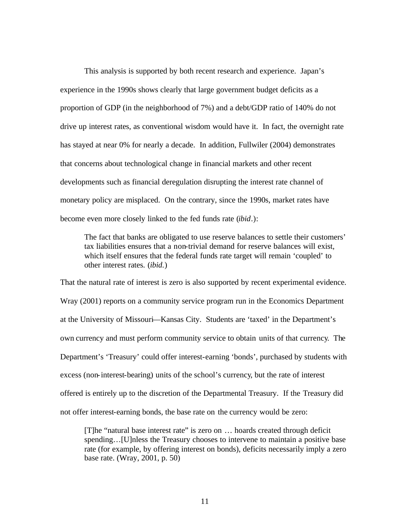This analysis is supported by both recent research and experience. Japan's experience in the 1990s shows clearly that large government budget deficits as a proportion of GDP (in the neighborhood of 7%) and a debt/GDP ratio of 140% do not drive up interest rates, as conventional wisdom would have it. In fact, the overnight rate has stayed at near 0% for nearly a decade. In addition, Fullwiler (2004) demonstrates that concerns about technological change in financial markets and other recent developments such as financial deregulation disrupting the interest rate channel of monetary policy are misplaced. On the contrary, since the 1990s, market rates have become even more closely linked to the fed funds rate (*ibid*.):

The fact that banks are obligated to use reserve balances to settle their customers' tax liabilities ensures that a non-trivial demand for reserve balances will exist, which itself ensures that the federal funds rate target will remain 'coupled' to other interest rates. (*ibid*.)

That the natural rate of interest is zero is also supported by recent experimental evidence. Wray (2001) reports on a community service program run in the Economics Department at the University of Missouri—Kansas City. Students are 'taxed' in the Department's own currency and must perform community service to obtain units of that currency. The Department's 'Treasury' could offer interest-earning 'bonds', purchased by students with excess (non-interest-bearing) units of the school's currency, but the rate of interest offered is entirely up to the discretion of the Departmental Treasury. If the Treasury did not offer interest-earning bonds, the base rate on the currency would be zero:

[T]he "natural base interest rate" is zero on … hoards created through deficit spending... [U]nless the Treasury chooses to intervene to maintain a positive base rate (for example, by offering interest on bonds), deficits necessarily imply a zero base rate. (Wray, 2001, p. 50)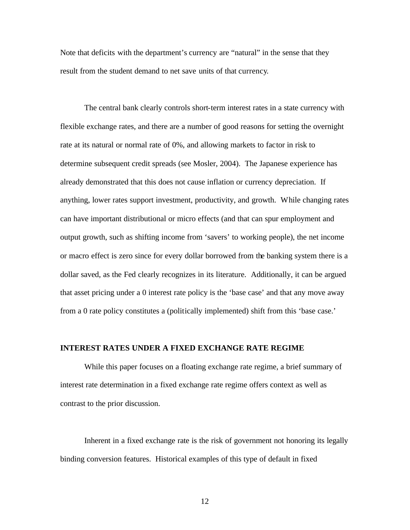Note that deficits with the department's currency are "natural" in the sense that they result from the student demand to net save units of that currency.

The central bank clearly controls short-term interest rates in a state currency with flexible exchange rates, and there are a number of good reasons for setting the overnight rate at its natural or normal rate of 0%, and allowing markets to factor in risk to determine subsequent credit spreads (see Mosler, 2004). The Japanese experience has already demonstrated that this does not cause inflation or currency depreciation. If anything, lower rates support investment, productivity, and growth. While changing rates can have important distributional or micro effects (and that can spur employment and output growth, such as shifting income from 'savers' to working people), the net income or macro effect is zero since for every dollar borrowed from the banking system there is a dollar saved, as the Fed clearly recognizes in its literature. Additionally, it can be argued that asset pricing under a 0 interest rate policy is the 'base case' and that any move away from a 0 rate policy constitutes a (politically implemented) shift from this 'base case.'

### **INTEREST RATES UNDER A FIXED EXCHANGE RATE REGIME**

While this paper focuses on a floating exchange rate regime, a brief summary of interest rate determination in a fixed exchange rate regime offers context as well as contrast to the prior discussion.

Inherent in a fixed exchange rate is the risk of government not honoring its legally binding conversion features. Historical examples of this type of default in fixed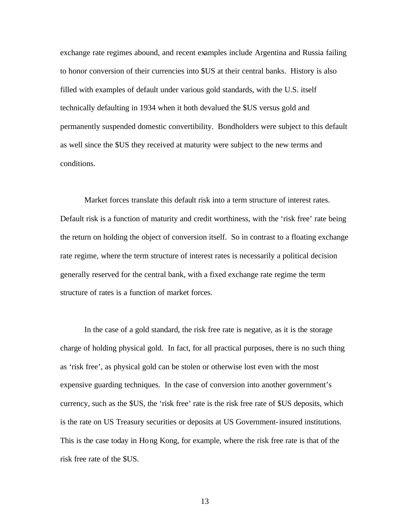exchange rate regimes abound, and recent examples include Argentina and Russia failing to honor conversion of their currencies into \$US at their central banks. History is also filled with examples of default under various gold standards, with the U.S. itself technically defaulting in 1934 when it both devalued the \$US versus gold and permanently suspended domestic convertibility. Bondholders were subject to this default as well since the \$US they received at maturity were subject to the new terms and conditions.

Market forces translate this default risk into a term structure of interest rates. Default risk is a function of maturity and credit worthiness, with the 'risk free' rate being the return on holding the object of conversion itself. So in contrast to a floating exchange rate regime, where the term structure of interest rates is necessarily a political decision generally reserved for the central bank, with a fixed exchange rate regime the term structure of rates is a function of market forces.

In the case of a gold standard, the risk free rate is negative, as it is the storage charge of holding physical gold. In fact, for all practical purposes, there is no such thing as 'risk free', as physical gold can be stolen or otherwise lost even with the most expensive guarding techniques. In the case of conversion into another government's currency, such as the \$US, the 'risk free' rate is the risk free rate of \$US deposits, which is the rate on US Treasury securities or deposits at US Government-insured institutions. This is the case today in Hong Kong, for example, where the risk free rate is that of the risk free rate of the \$US.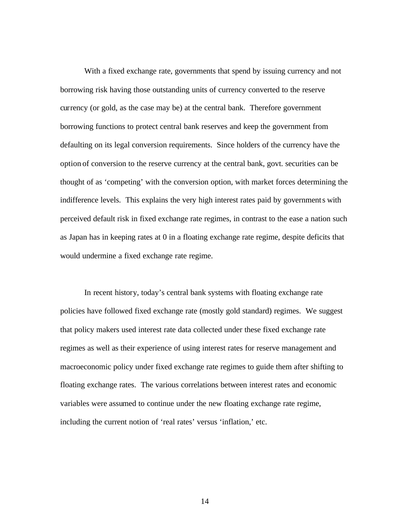With a fixed exchange rate, governments that spend by issuing currency and not borrowing risk having those outstanding units of currency converted to the reserve currency (or gold, as the case may be) at the central bank. Therefore government borrowing functions to protect central bank reserves and keep the government from defaulting on its legal conversion requirements. Since holders of the currency have the option of conversion to the reserve currency at the central bank, govt. securities can be thought of as 'competing' with the conversion option, with market forces determining the indifference levels. This explains the very high interest rates paid by governments with perceived default risk in fixed exchange rate regimes, in contrast to the ease a nation such as Japan has in keeping rates at 0 in a floating exchange rate regime, despite deficits that would undermine a fixed exchange rate regime.

In recent history, today's central bank systems with floating exchange rate policies have followed fixed exchange rate (mostly gold standard) regimes. We suggest that policy makers used interest rate data collected under these fixed exchange rate regimes as well as their experience of using interest rates for reserve management and macroeconomic policy under fixed exchange rate regimes to guide them after shifting to floating exchange rates. The various correlations between interest rates and economic variables were assumed to continue under the new floating exchange rate regime, including the current notion of 'real rates' versus 'inflation,' etc.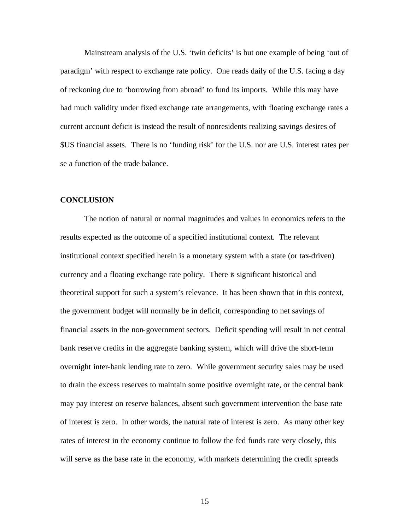Mainstream analysis of the U.S. 'twin deficits' is but one example of being 'out of paradigm' with respect to exchange rate policy. One reads daily of the U.S. facing a day of reckoning due to 'borrowing from abroad' to fund its imports. While this may have had much validity under fixed exchange rate arrangements, with floating exchange rates a current account deficit is instead the result of nonresidents realizing savings desires of \$US financial assets. There is no 'funding risk' for the U.S. nor are U.S. interest rates per se a function of the trade balance.

#### **CONCLUSION**

The notion of natural or normal magnitudes and values in economics refers to the results expected as the outcome of a specified institutional context. The relevant institutional context specified herein is a monetary system with a state (or tax-driven) currency and a floating exchange rate policy. There is significant historical and theoretical support for such a system's relevance. It has been shown that in this context, the government budget will normally be in deficit, corresponding to net savings of financial assets in the non-government sectors. Deficit spending will result in net central bank reserve credits in the aggregate banking system, which will drive the short-term overnight inter-bank lending rate to zero. While government security sales may be used to drain the excess reserves to maintain some positive overnight rate, or the central bank may pay interest on reserve balances, absent such government intervention the base rate of interest is zero. In other words, the natural rate of interest is zero. As many other key rates of interest in the economy continue to follow the fed funds rate very closely, this will serve as the base rate in the economy, with markets determining the credit spreads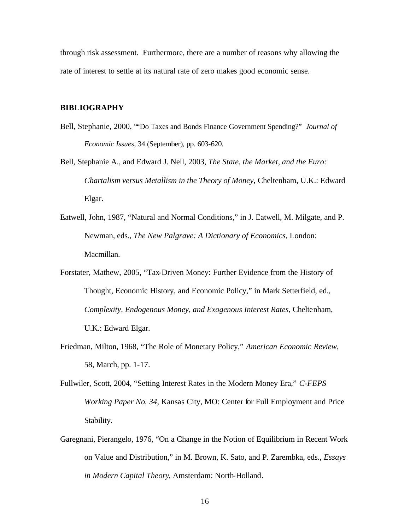through risk assessment. Furthermore, there are a number of reasons why allowing the rate of interest to settle at its natural rate of zero makes good economic sense.

#### **BIBLIOGRAPHY**

- Bell, Stephanie, 2000, ""Do Taxes and Bonds Finance Government Spending?" *Journal of Economic Issues*, 34 (September), pp. 603-620.
- Bell, Stephanie A., and Edward J. Nell, 2003, *The State, the Market, and the Euro: Chartalism versus Metallism in the Theory of Money*, Cheltenham, U.K.: Edward Elgar.
- Eatwell, John, 1987, "Natural and Normal Conditions," in J. Eatwell, M. Milgate, and P. Newman, eds., *The New Palgrave: A Dictionary of Economics*, London: Macmillan.
- Forstater, Mathew, 2005, "Tax-Driven Money: Further Evidence from the History of Thought, Economic History, and Economic Policy," in Mark Setterfield, ed., *Complexity, Endogenous Money, and Exogenous Interest Rates*, Cheltenham, U.K.: Edward Elgar.
- Friedman, Milton, 1968, "The Role of Monetary Policy," *American Economic Review*, 58, March, pp. 1-17.
- Fullwiler, Scott, 2004, "Setting Interest Rates in the Modern Money Era," *C-FEPS Working Paper No. 34*, Kansas City, MO: Center for Full Employment and Price Stability.
- Garegnani, Pierangelo, 1976, "On a Change in the Notion of Equilibrium in Recent Work on Value and Distribution," in M. Brown, K. Sato, and P. Zarembka, eds., *Essays in Modern Capital Theory*, Amsterdam: North-Holland.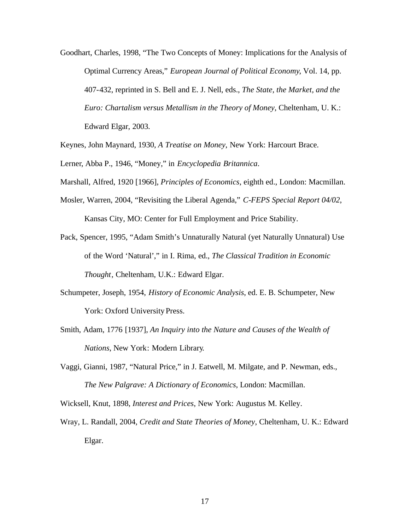- Goodhart, Charles, 1998, "The Two Concepts of Money: Implications for the Analysis of Optimal Currency Areas," *European Journal of Political Economy*, Vol. 14, pp. 407-432, reprinted in S. Bell and E. J. Nell, eds., *The State, the Market, and the Euro: Chartalism versus Metallism in the Theory of Money*, Cheltenham, U. K.: Edward Elgar, 2003.
- Keynes, John Maynard, 1930, *A Treatise on Money*, New York: Harcourt Brace.
- Lerner, Abba P., 1946, "Money," in *Encyclopedia Britannica*.
- Marshall, Alfred, 1920 [1966], *Principles of Economics*, eighth ed., London: Macmillan.
- Mosler, Warren, 2004, "Revisiting the Liberal Agenda," *C-FEPS Special Report 04/02*, Kansas City, MO: Center for Full Employment and Price Stability.
- Pack, Spencer, 1995, "Adam Smith's Unnaturally Natural (yet Naturally Unnatural) Use of the Word 'Natural'," in I. Rima, ed., *The Classical Tradition in Economic Thought*, Cheltenham, U.K.: Edward Elgar.
- Schumpeter, Joseph, 1954, *History of Economic Analysis*, ed. E. B. Schumpeter, New York: Oxford University Press.
- Smith, Adam, 1776 [1937], *An Inquiry into the Nature and Causes of the Wealth of Nations*, New York: Modern Library.
- Vaggi, Gianni, 1987, "Natural Price," in J. Eatwell, M. Milgate, and P. Newman, eds., *The New Palgrave: A Dictionary of Economics*, London: Macmillan.
- Wicksell, Knut, 1898, *Interest and Prices*, New York: Augustus M. Kelley.
- Wray, L. Randall, 2004, *Credit and State Theories of Money*, Cheltenham, U. K.: Edward Elgar.